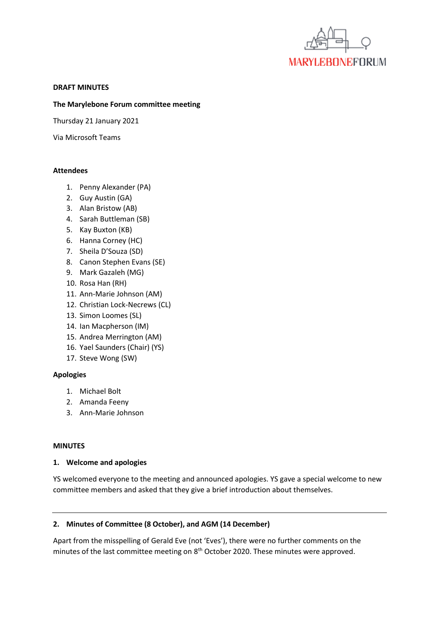

#### **DRAFT MINUTES**

#### **The Marylebone Forum committee meeting**

Thursday 21 January 2021

Via Microsoft Teams

#### **Attendees**

- 1. Penny Alexander (PA)
- 2. Guy Austin (GA)
- 3. Alan Bristow (AB)
- 4. Sarah Buttleman (SB)
- 5. Kay Buxton (KB)
- 6. Hanna Corney (HC)
- 7. Sheila D'Souza (SD)
- 8. Canon Stephen Evans (SE)
- 9. Mark Gazaleh (MG)
- 10. Rosa Han (RH)
- 11. Ann-Marie Johnson (AM)
- 12. Christian Lock-Necrews (CL)
- 13. Simon Loomes (SL)
- 14. Ian Macpherson (IM)
- 15. Andrea Merrington (AM)
- 16. Yael Saunders (Chair) (YS)
- 17. Steve Wong (SW)

### **Apologies**

- 1. Michael Bolt
- 2. Amanda Feeny
- 3. Ann-Marie Johnson

### **MINUTES**

### **1. Welcome and apologies**

YS welcomed everyone to the meeting and announced apologies. YS gave a special welcome to new committee members and asked that they give a brief introduction about themselves.

### **2. Minutes of Committee (8 October), and AGM (14 December)**

Apart from the misspelling of Gerald Eve (not 'Eves'), there were no further comments on the minutes of the last committee meeting on  $8<sup>th</sup>$  October 2020. These minutes were approved.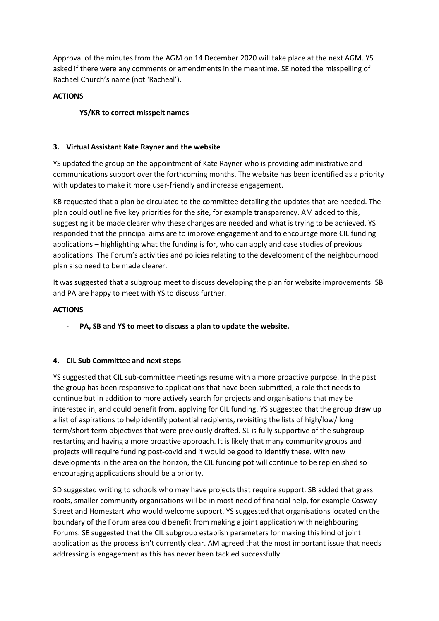Approval of the minutes from the AGM on 14 December 2020 will take place at the next AGM. YS asked if there were any comments or amendments in the meantime. SE noted the misspelling of Rachael Church's name (not 'Racheal').

# **ACTIONS**

- **YS/KR to correct misspelt names**

## **3. Virtual Assistant Kate Rayner and the website**

YS updated the group on the appointment of Kate Rayner who is providing administrative and communications support over the forthcoming months. The website has been identified as a priority with updates to make it more user-friendly and increase engagement.

KB requested that a plan be circulated to the committee detailing the updates that are needed. The plan could outline five key priorities for the site, for example transparency. AM added to this, suggesting it be made clearer why these changes are needed and what is trying to be achieved. YS responded that the principal aims are to improve engagement and to encourage more CIL funding applications – highlighting what the funding is for, who can apply and case studies of previous applications. The Forum's activities and policies relating to the development of the neighbourhood plan also need to be made clearer.

It was suggested that a subgroup meet to discuss developing the plan for website improvements. SB and PA are happy to meet with YS to discuss further.

## **ACTIONS**

- **PA, SB and YS to meet to discuss a plan to update the website.** 

## **4. CIL Sub Committee and next steps**

YS suggested that CIL sub-committee meetings resume with a more proactive purpose. In the past the group has been responsive to applications that have been submitted, a role that needs to continue but in addition to more actively search for projects and organisations that may be interested in, and could benefit from, applying for CIL funding. YS suggested that the group draw up a list of aspirations to help identify potential recipients, revisiting the lists of high/low/ long term/short term objectives that were previously drafted. SL is fully supportive of the subgroup restarting and having a more proactive approach. It is likely that many community groups and projects will require funding post-covid and it would be good to identify these. With new developments in the area on the horizon, the CIL funding pot will continue to be replenished so encouraging applications should be a priority.

SD suggested writing to schools who may have projects that require support. SB added that grass roots, smaller community organisations will be in most need of financial help, for example Cosway Street and Homestart who would welcome support. YS suggested that organisations located on the boundary of the Forum area could benefit from making a joint application with neighbouring Forums. SE suggested that the CIL subgroup establish parameters for making this kind of joint application as the process isn't currently clear. AM agreed that the most important issue that needs addressing is engagement as this has never been tackled successfully.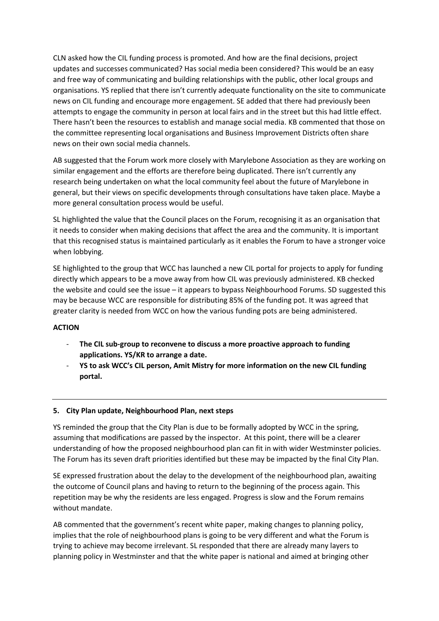CLN asked how the CIL funding process is promoted. And how are the final decisions, project updates and successes communicated? Has social media been considered? This would be an easy and free way of communicating and building relationships with the public, other local groups and organisations. YS replied that there isn't currently adequate functionality on the site to communicate news on CIL funding and encourage more engagement. SE added that there had previously been attempts to engage the community in person at local fairs and in the street but this had little effect. There hasn't been the resources to establish and manage social media. KB commented that those on the committee representing local organisations and Business Improvement Districts often share news on their own social media channels.

AB suggested that the Forum work more closely with Marylebone Association as they are working on similar engagement and the efforts are therefore being duplicated. There isn't currently any research being undertaken on what the local community feel about the future of Marylebone in general, but their views on specific developments through consultations have taken place. Maybe a more general consultation process would be useful.

SL highlighted the value that the Council places on the Forum, recognising it as an organisation that it needs to consider when making decisions that affect the area and the community. It is important that this recognised status is maintained particularly as it enables the Forum to have a stronger voice when lobbying.

SE highlighted to the group that WCC has launched a new CIL portal for projects to apply for funding directly which appears to be a move away from how CIL was previously administered. KB checked the website and could see the issue – it appears to bypass Neighbourhood Forums. SD suggested this may be because WCC are responsible for distributing 85% of the funding pot. It was agreed that greater clarity is needed from WCC on how the various funding pots are being administered.

### **ACTION**

- **The CIL sub-group to reconvene to discuss a more proactive approach to funding applications. YS/KR to arrange a date.**
- **YS to ask WCC's CIL person, Amit Mistry for more information on the new CIL funding portal.**

### **5. City Plan update, Neighbourhood Plan, next steps**

YS reminded the group that the City Plan is due to be formally adopted by WCC in the spring, assuming that modifications are passed by the inspector. At this point, there will be a clearer understanding of how the proposed neighbourhood plan can fit in with wider Westminster policies. The Forum has its seven draft priorities identified but these may be impacted by the final City Plan.

SE expressed frustration about the delay to the development of the neighbourhood plan, awaiting the outcome of Council plans and having to return to the beginning of the process again. This repetition may be why the residents are less engaged. Progress is slow and the Forum remains without mandate.

AB commented that the government's recent white paper, making changes to planning policy, implies that the role of neighbourhood plans is going to be very different and what the Forum is trying to achieve may become irrelevant. SL responded that there are already many layers to planning policy in Westminster and that the white paper is national and aimed at bringing other